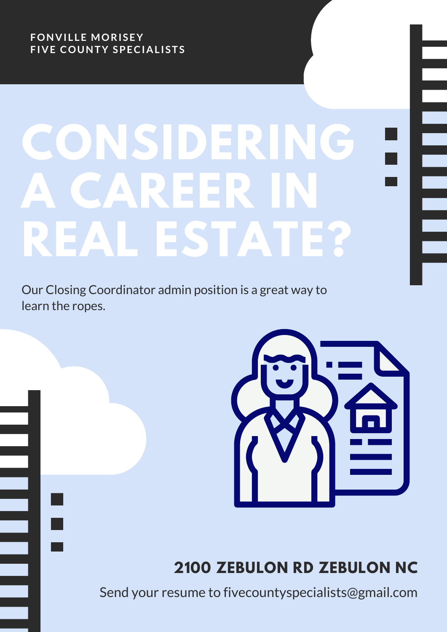# **CONSIDERING A CAREER IN REAL ESTATE?**

Our Closing Coordinator admin position is a great way to learn the ropes.



#### **2100 ZEBULON RD ZEBULON NC**

Send your resume to fivecountyspecialists@gmail.com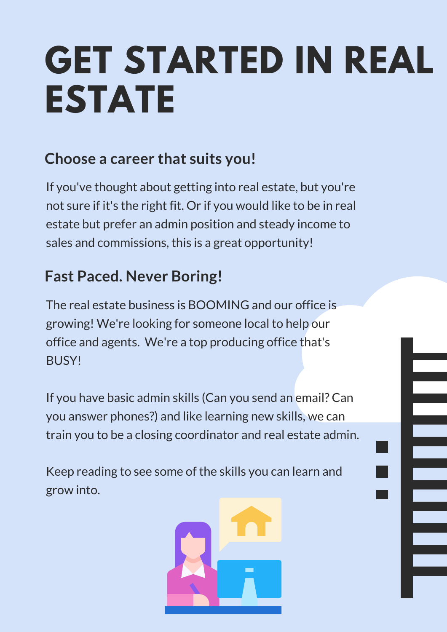## **GET STARTED IN REAL ESTATE**

### **Choose a career that suits you!**

If you've thought about getting into real estate, but you're not sure if it's the right fit. Or if you would like to be in real estate but prefer an admin position and steady income to sales and commissions, this is a great opportunity!

### **Fast Paced. Never Boring!**

The real estate business is BOOMING and our office is growing! We're looking for someone local to help our office and agents. We're a top producing office that's BUSY!

If you have basic admin skills (Can you send an email? Can you answer phones?) and like learning new skills, we can train you to be a closing coordinator and real estate admin.

Keep reading to see some of the skills you can learn and grow into.

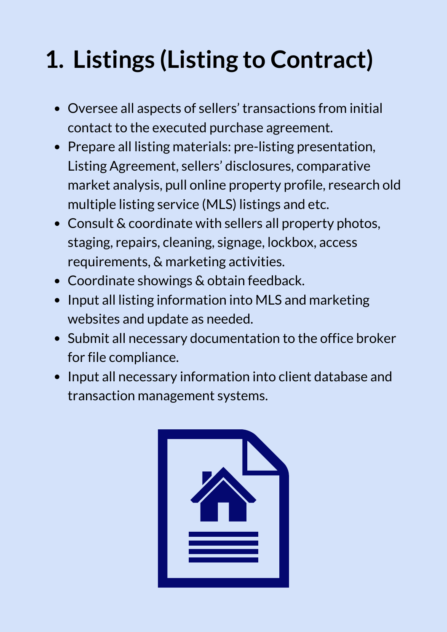## **1. Listings (Listing to Contract)**

- Oversee all aspects of sellers' transactions from initial contact to the executed purchase agreement.
- Prepare all listing materials: pre-listing presentation, Listing Agreement, sellers' disclosures, comparative market analysis, pull online property profile, research old multiple listing service (MLS) listings and etc.
- Consult & coordinate with sellers all property photos, staging, repairs, cleaning, signage, lockbox, access requirements, & marketing activities.
- Coordinate showings & obtain feedback.
- Input all listing information into MLS and marketing websites and update as needed.
- Submit all necessary documentation to the office broker for file compliance.
- Input all necessary information into client database and transaction management systems.

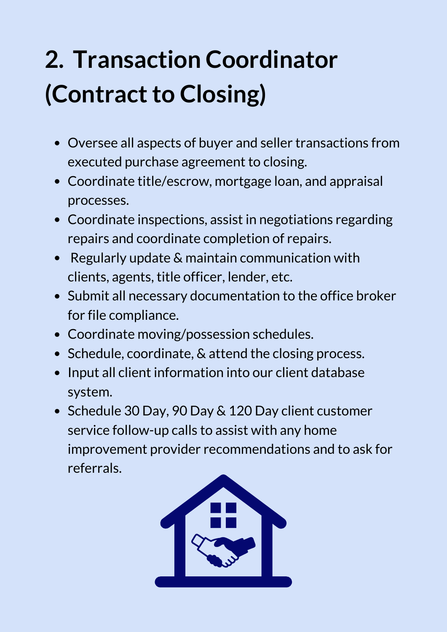## **2. Transaction Coordinator (Contract to Closing)**

- Oversee all aspects of buyer and seller transactions from executed purchase agreement to closing.
- Coordinate title/escrow, mortgage loan, and appraisal processes.
- Coordinate inspections, assist in negotiations regarding repairs and coordinate completion of repairs.
- Regularly update & maintain communication with clients, agents, title officer, lender, etc.
- Submit all necessary documentation to the office broker for file compliance.
- Coordinate moving/possession schedules.
- Schedule, coordinate, & attend the closing process.
- Input all client information into our client database system.
- Schedule 30 Day, 90 Day & 120 Day client customer service follow-up calls to assist with any home improvement provider recommendations and to ask for referrals.

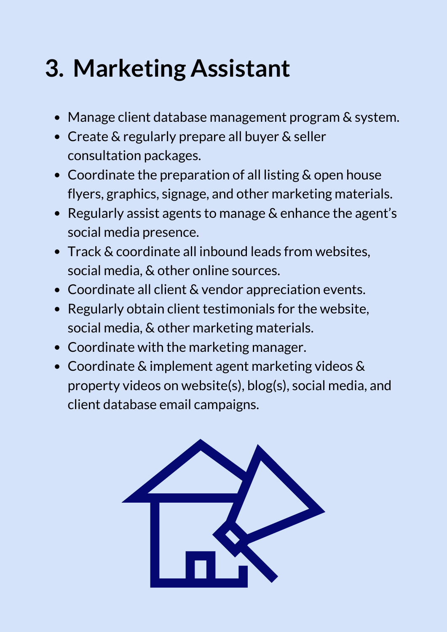### **3. Marketing Assistant**

- Manage client database management program & system.
- Create & regularly prepare all buyer & seller consultation packages.
- Coordinate the preparation of all listing & open house flyers, graphics, signage, and other marketing materials.
- Regularly assist agents to manage & enhance the agent's social media presence.
- Track & coordinate all inbound leads from websites, social media, & other online sources.
- Coordinate all client & vendor appreciation events.
- Regularly obtain client testimonials for the website, social media, & other marketing materials.
- Coordinate with the marketing manager.
- Coordinate & implement agent marketing videos & property videos on website(s), blog(s), social media, and client database email campaigns.

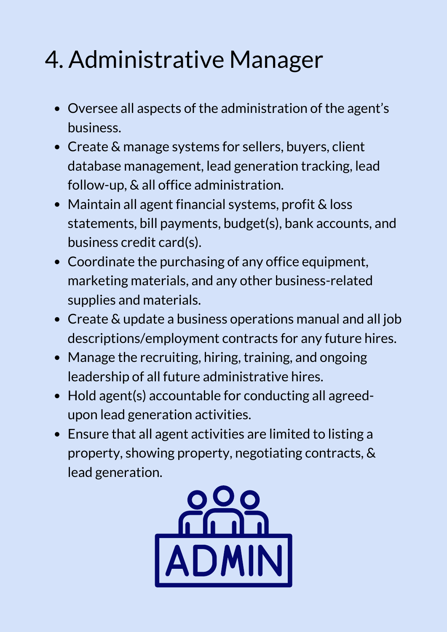## 4. Administrative Manager

- Oversee all aspects of the administration of the agent's business.
- Create & manage systems for sellers, buyers, client database management, lead generation tracking, lead follow-up, & all office administration.
- Maintain all agent financial systems, profit & loss statements, bill payments, budget(s), bank accounts, and business credit card(s).
- Coordinate the purchasing of any office equipment, marketing materials, and any other business-related supplies and materials.
- Create & update a business operations manual and all job descriptions/employment contracts for any future hires.
- Manage the recruiting, hiring, training, and ongoing leadership of all future administrative hires.
- Hold agent(s) accountable for conducting all agreedupon lead generation activities.
- Ensure that all agent activities are limited to listing a property, showing property, negotiating contracts, & lead generation.

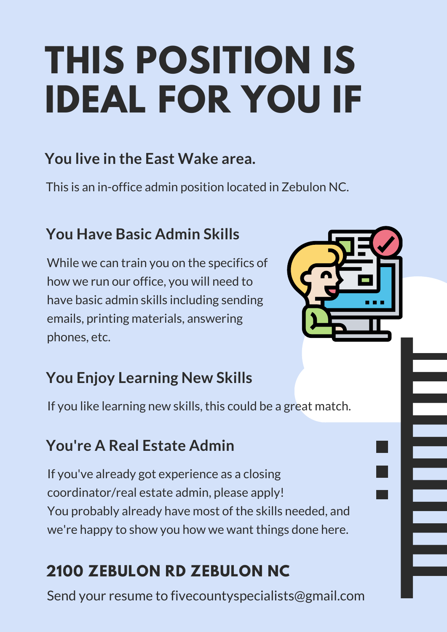## **THIS POSITION IS IDEAL FOR YOU IF**

### **You live in the East Wake area.**

This is an in-office admin position located in Zebulon NC.

### **You Have Basic Admin Skills**

While we can train you on the specifics of how we run our office, you will need to have basic admin skills including sending emails, printing materials, answering phones, etc.



### **You Enjoy Learning New Skills**

If you like learning new skills, this could be a great match.

### **You're A Real Estate Admin**

If you've already got experience as a closing coordinator/real estate admin, please apply! You probably already have most of the skills needed, and we're happy to show you how we want things done here.

### **2100 ZEBULON RD ZEBULON NC**

Send your resume to fivecountyspecialists@gmail.com